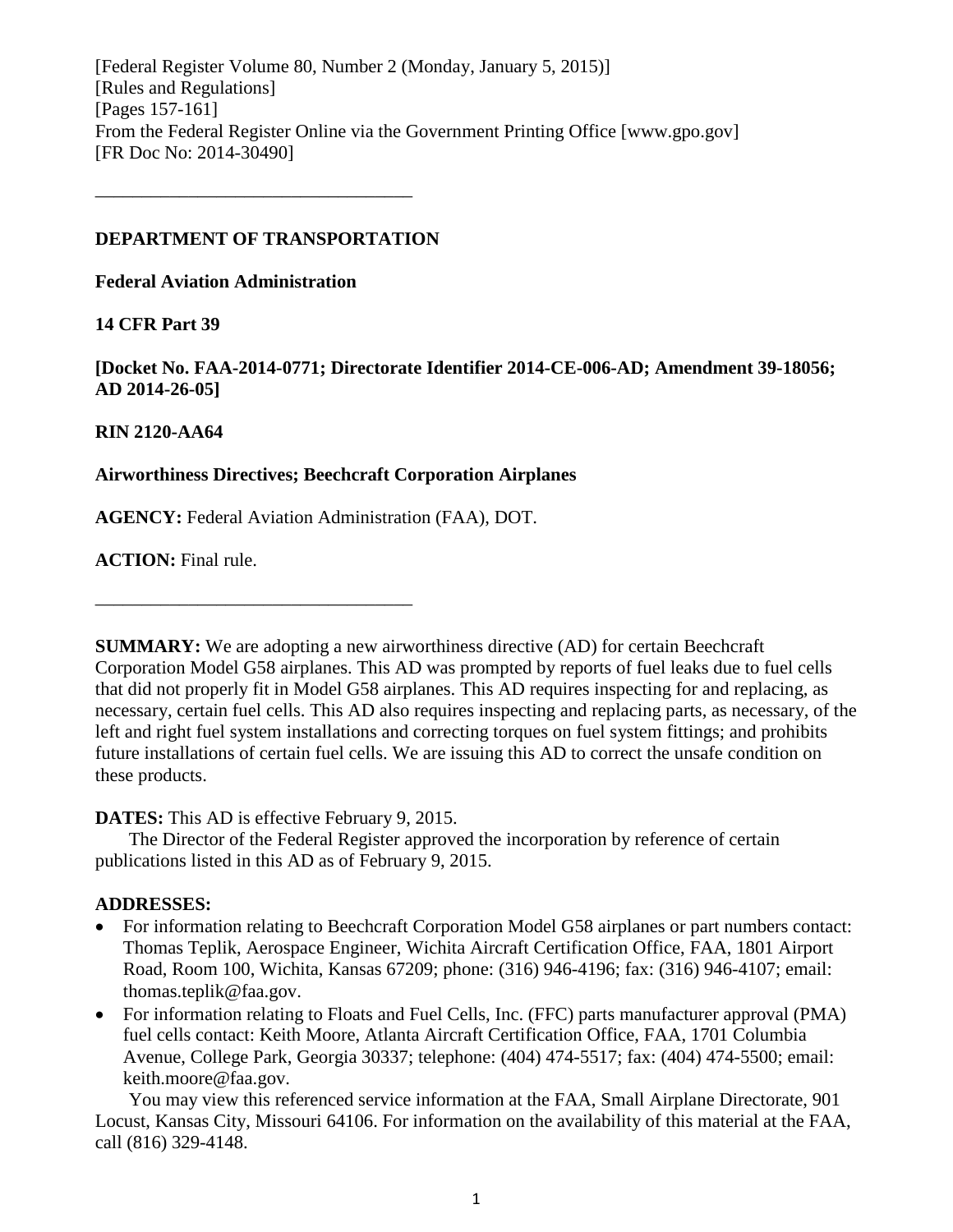[Federal Register Volume 80, Number 2 (Monday, January 5, 2015)] [Rules and Regulations] [Pages 157-161] From the Federal Register Online via the Government Printing Office [www.gpo.gov] [FR Doc No: 2014-30490]

# **DEPARTMENT OF TRANSPORTATION**

––––––––––––––––––––––––––––––––––

**Federal Aviation Administration**

# **14 CFR Part 39**

**[Docket No. FAA-2014-0771; Directorate Identifier 2014-CE-006-AD; Amendment 39-18056; AD 2014-26-05]**

# **RIN 2120-AA64**

# **Airworthiness Directives; Beechcraft Corporation Airplanes**

**AGENCY:** Federal Aviation Administration (FAA), DOT.

**ACTION:** Final rule.

**SUMMARY:** We are adopting a new airworthiness directive (AD) for certain Beechcraft Corporation Model G58 airplanes. This AD was prompted by reports of fuel leaks due to fuel cells that did not properly fit in Model G58 airplanes. This AD requires inspecting for and replacing, as necessary, certain fuel cells. This AD also requires inspecting and replacing parts, as necessary, of the left and right fuel system installations and correcting torques on fuel system fittings; and prohibits future installations of certain fuel cells. We are issuing this AD to correct the unsafe condition on these products.

## **DATES:** This AD is effective February 9, 2015.

––––––––––––––––––––––––––––––––––

The Director of the Federal Register approved the incorporation by reference of certain publications listed in this AD as of February 9, 2015.

# **ADDRESSES:**

- For information relating to Beechcraft Corporation Model G58 airplanes or part numbers contact: Thomas Teplik, Aerospace Engineer, Wichita Aircraft Certification Office, FAA, 1801 Airport Road, Room 100, Wichita, Kansas 67209; phone: (316) 946-4196; fax: (316) 946-4107; email: thomas.teplik@faa.gov.
- For information relating to Floats and Fuel Cells, Inc. (FFC) parts manufacturer approval (PMA) fuel cells contact: Keith Moore, Atlanta Aircraft Certification Office, FAA, 1701 Columbia Avenue, College Park, Georgia 30337; telephone: (404) 474-5517; fax: (404) 474-5500; email: keith.moore@faa.gov.

You may view this referenced service information at the FAA, Small Airplane Directorate, 901 Locust, Kansas City, Missouri 64106. For information on the availability of this material at the FAA, call (816) 329-4148.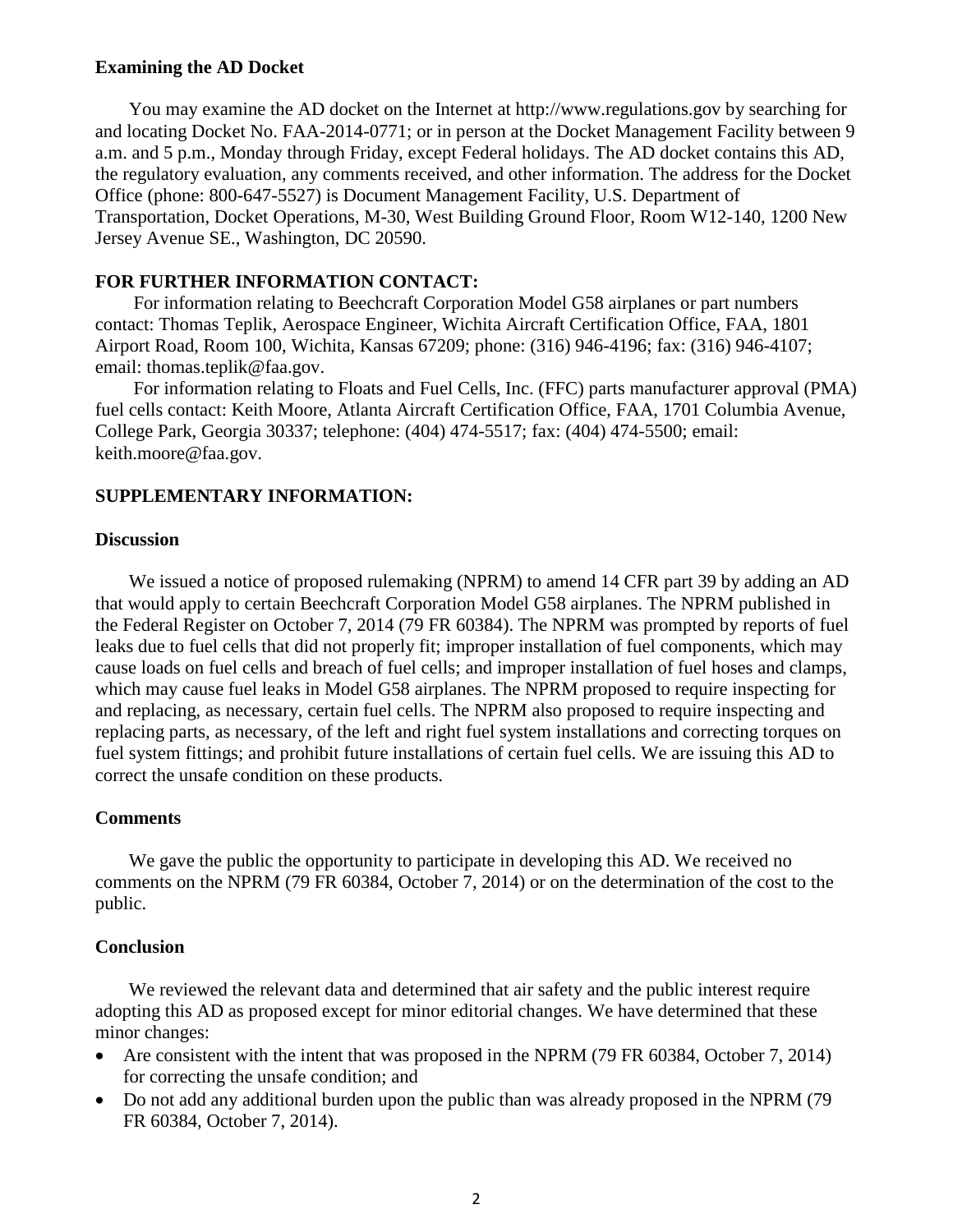### **Examining the AD Docket**

You may examine the AD docket on the Internet at http://www.regulations.gov by searching for and locating Docket No. FAA-2014-0771; or in person at the Docket Management Facility between 9 a.m. and 5 p.m., Monday through Friday, except Federal holidays. The AD docket contains this AD, the regulatory evaluation, any comments received, and other information. The address for the Docket Office (phone: 800-647-5527) is Document Management Facility, U.S. Department of Transportation, Docket Operations, M-30, West Building Ground Floor, Room W12-140, 1200 New Jersey Avenue SE., Washington, DC 20590.

# **FOR FURTHER INFORMATION CONTACT:**

For information relating to Beechcraft Corporation Model G58 airplanes or part numbers contact: Thomas Teplik, Aerospace Engineer, Wichita Aircraft Certification Office, FAA, 1801 Airport Road, Room 100, Wichita, Kansas 67209; phone: (316) 946-4196; fax: (316) 946-4107; email: thomas.teplik@faa.gov.

For information relating to Floats and Fuel Cells, Inc. (FFC) parts manufacturer approval (PMA) fuel cells contact: Keith Moore, Atlanta Aircraft Certification Office, FAA, 1701 Columbia Avenue, College Park, Georgia 30337; telephone: (404) 474-5517; fax: (404) 474-5500; email: keith.moore@faa.gov.

### **SUPPLEMENTARY INFORMATION:**

### **Discussion**

We issued a notice of proposed rulemaking (NPRM) to amend 14 CFR part 39 by adding an AD that would apply to certain Beechcraft Corporation Model G58 airplanes. The NPRM published in the Federal Register on October 7, 2014 (79 FR 60384). The NPRM was prompted by reports of fuel leaks due to fuel cells that did not properly fit; improper installation of fuel components, which may cause loads on fuel cells and breach of fuel cells; and improper installation of fuel hoses and clamps, which may cause fuel leaks in Model G58 airplanes. The NPRM proposed to require inspecting for and replacing, as necessary, certain fuel cells. The NPRM also proposed to require inspecting and replacing parts, as necessary, of the left and right fuel system installations and correcting torques on fuel system fittings; and prohibit future installations of certain fuel cells. We are issuing this AD to correct the unsafe condition on these products.

### **Comments**

We gave the public the opportunity to participate in developing this AD. We received no comments on the NPRM (79 FR 60384, October 7, 2014) or on the determination of the cost to the public.

### **Conclusion**

We reviewed the relevant data and determined that air safety and the public interest require adopting this AD as proposed except for minor editorial changes. We have determined that these minor changes:

- Are consistent with the intent that was proposed in the NPRM (79 FR 60384, October 7, 2014) for correcting the unsafe condition; and
- Do not add any additional burden upon the public than was already proposed in the NPRM (79) FR 60384, October 7, 2014).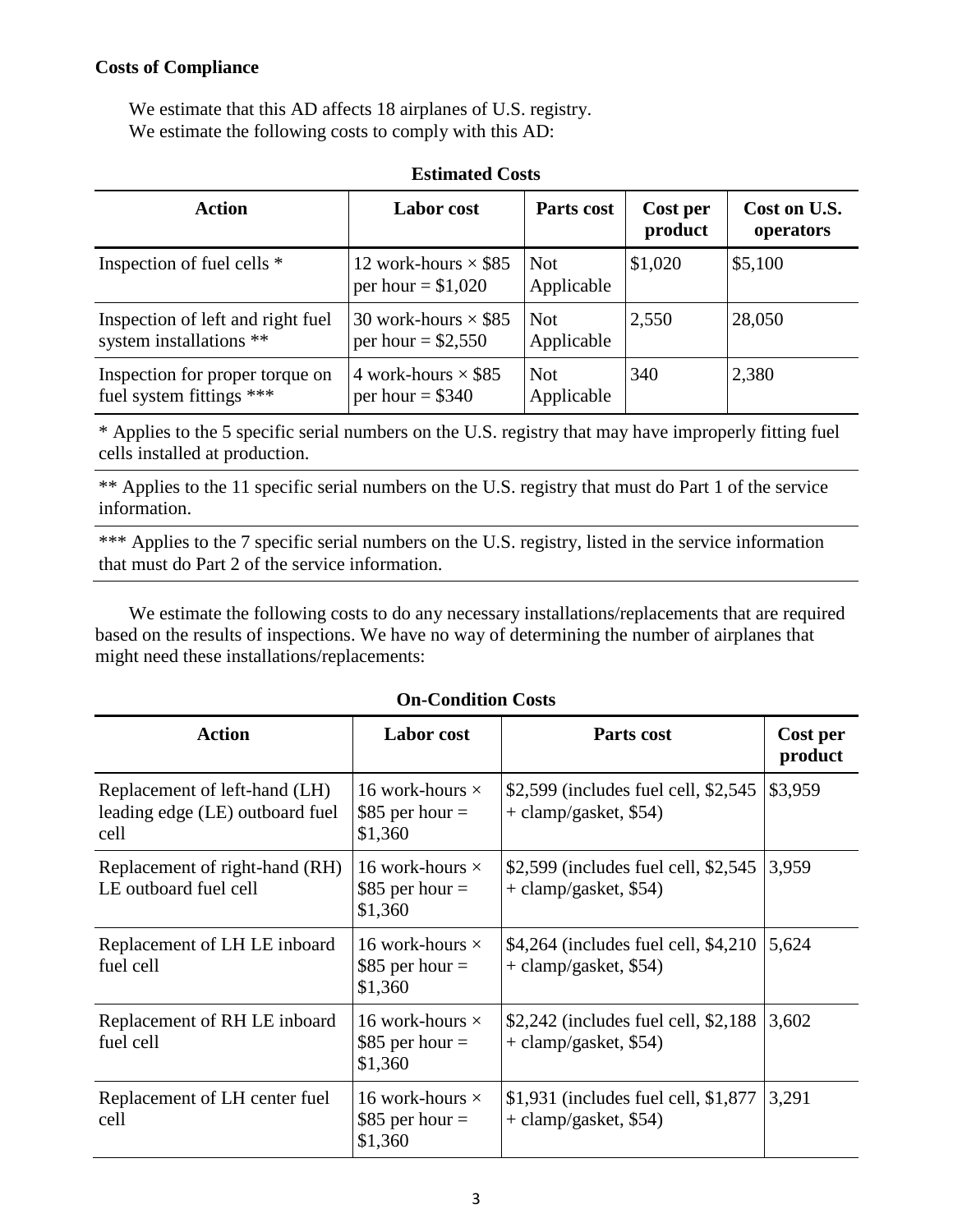# **Costs of Compliance**

We estimate that this AD affects 18 airplanes of U.S. registry. We estimate the following costs to comply with this AD:

| <b>Action</b>                                                | <b>Labor</b> cost                                  | Parts cost               | Cost per<br>product | Cost on U.S.<br>operators |  |  |  |
|--------------------------------------------------------------|----------------------------------------------------|--------------------------|---------------------|---------------------------|--|--|--|
| Inspection of fuel cells *                                   | 12 work-hours $\times$ \$85<br>per hour = $$1,020$ | <b>Not</b><br>Applicable | \$1,020             | \$5,100                   |  |  |  |
| Inspection of left and right fuel<br>system installations ** | 30 work-hours $\times$ \$85<br>per hour = $$2,550$ | <b>Not</b><br>Applicable | 2,550               | 28,050                    |  |  |  |
| Inspection for proper torque on<br>fuel system fittings ***  | 4 work-hours $\times$ \$85<br>per hour $=$ \$340   | <b>Not</b><br>Applicable | 340                 | 2,380                     |  |  |  |

## **Estimated Costs**

\* Applies to the 5 specific serial numbers on the U.S. registry that may have improperly fitting fuel cells installed at production.

\*\* Applies to the 11 specific serial numbers on the U.S. registry that must do Part 1 of the service information.

\*\*\* Applies to the 7 specific serial numbers on the U.S. registry, listed in the service information that must do Part 2 of the service information.

We estimate the following costs to do any necessary installations/replacements that are required based on the results of inspections. We have no way of determining the number of airplanes that might need these installations/replacements:

| <b>Action</b>                                                            | <b>Labor</b> cost                                      | Parts cost                                                        | Cost per<br>product |
|--------------------------------------------------------------------------|--------------------------------------------------------|-------------------------------------------------------------------|---------------------|
| Replacement of left-hand (LH)<br>leading edge (LE) outboard fuel<br>cell | 16 work-hours $\times$<br>\$85 per hour $=$<br>\$1,360 | \$2,599 (includes fuel cell, \$2,545)<br>+ clamp/gasket, \$54)    | \$3,959             |
| Replacement of right-hand (RH)<br>LE outboard fuel cell                  | 16 work-hours $\times$<br>\$85 per hour $=$<br>\$1,360 | \$2,599 (includes fuel cell, \$2,545)<br>$+$ clamp/gasket, \$54)  | 3,959               |
| Replacement of LH LE inboard<br>fuel cell                                | 16 work-hours $\times$<br>\$85 per hour $=$<br>\$1,360 | $$4,264$ (includes fuel cell, $$4,210$ )<br>+ clamp/gasket, \$54) | 5,624               |
| Replacement of RH LE inboard<br>fuel cell                                | 16 work-hours $\times$<br>\$85 per hour $=$<br>\$1,360 | $$2,242$ (includes fuel cell, $$2,188$ )<br>+ clamp/gasket, \$54) | 3,602               |
| Replacement of LH center fuel<br>cell                                    | 16 work-hours $\times$<br>\$85 per hour $=$<br>\$1,360 | $$1,931$ (includes fuel cell, $$1,877$ )<br>+ clamp/gasket, \$54) | 3,291               |

## **On-Condition Costs**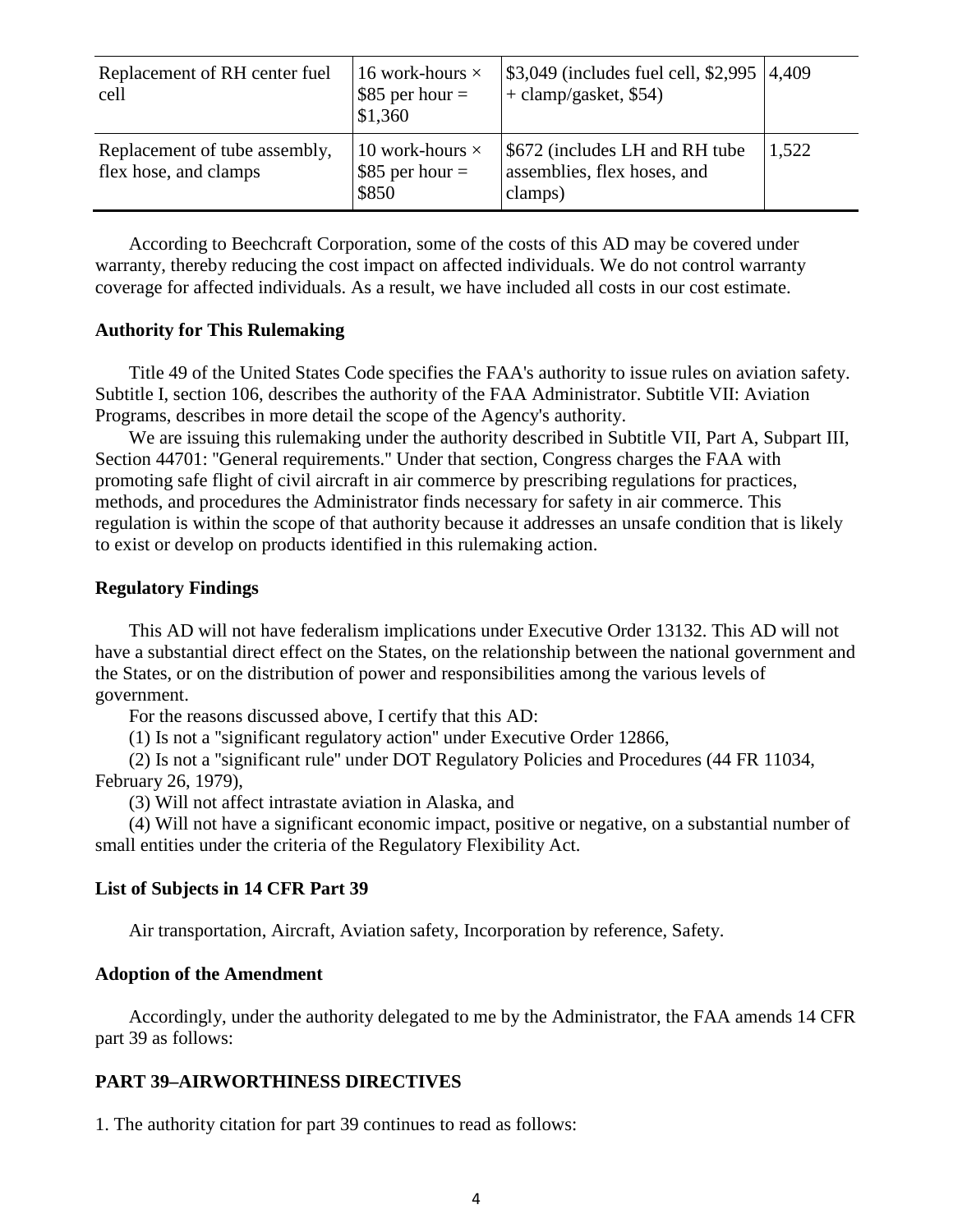| Replacement of RH center fuel<br>cell                  | 16 work-hours $\times$<br>$$85$ per hour =<br>\$1,360 | \$3,049 (includes fuel cell, \$2,995  4,409<br>$+$ clamp/gasket, \$54)   |       |
|--------------------------------------------------------|-------------------------------------------------------|--------------------------------------------------------------------------|-------|
| Replacement of tube assembly,<br>flex hose, and clamps | 10 work-hours $\times$<br>$$85$ per hour =<br>\$850   | \$672 (includes LH and RH tube<br>assemblies, flex hoses, and<br>clamps) | 1,522 |

According to Beechcraft Corporation, some of the costs of this AD may be covered under warranty, thereby reducing the cost impact on affected individuals. We do not control warranty coverage for affected individuals. As a result, we have included all costs in our cost estimate.

### **Authority for This Rulemaking**

Title 49 of the United States Code specifies the FAA's authority to issue rules on aviation safety. Subtitle I, section 106, describes the authority of the FAA Administrator. Subtitle VII: Aviation Programs, describes in more detail the scope of the Agency's authority.

We are issuing this rulemaking under the authority described in Subtitle VII, Part A, Subpart III, Section 44701: ''General requirements.'' Under that section, Congress charges the FAA with promoting safe flight of civil aircraft in air commerce by prescribing regulations for practices, methods, and procedures the Administrator finds necessary for safety in air commerce. This regulation is within the scope of that authority because it addresses an unsafe condition that is likely to exist or develop on products identified in this rulemaking action.

### **Regulatory Findings**

This AD will not have federalism implications under Executive Order 13132. This AD will not have a substantial direct effect on the States, on the relationship between the national government and the States, or on the distribution of power and responsibilities among the various levels of government.

For the reasons discussed above, I certify that this AD:

(1) Is not a ''significant regulatory action'' under Executive Order 12866,

(2) Is not a ''significant rule'' under DOT Regulatory Policies and Procedures (44 FR 11034, February 26, 1979),

(3) Will not affect intrastate aviation in Alaska, and

(4) Will not have a significant economic impact, positive or negative, on a substantial number of small entities under the criteria of the Regulatory Flexibility Act.

## **List of Subjects in 14 CFR Part 39**

Air transportation, Aircraft, Aviation safety, Incorporation by reference, Safety.

### **Adoption of the Amendment**

Accordingly, under the authority delegated to me by the Administrator, the FAA amends 14 CFR part 39 as follows:

## **PART 39–AIRWORTHINESS DIRECTIVES**

1. The authority citation for part 39 continues to read as follows: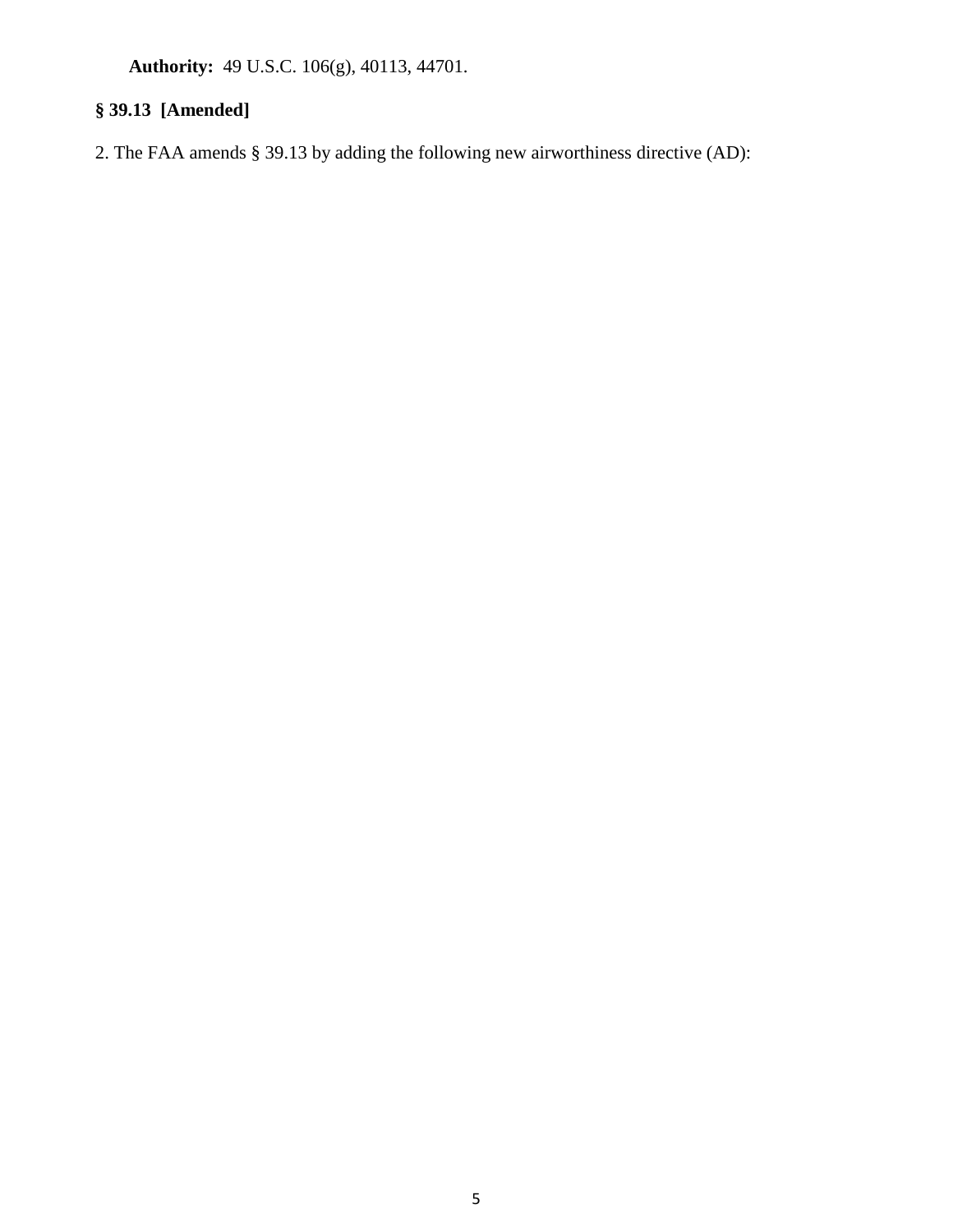**Authority:** 49 U.S.C. 106(g), 40113, 44701.

# **§ 39.13 [Amended]**

2. The FAA amends § 39.13 by adding the following new airworthiness directive (AD):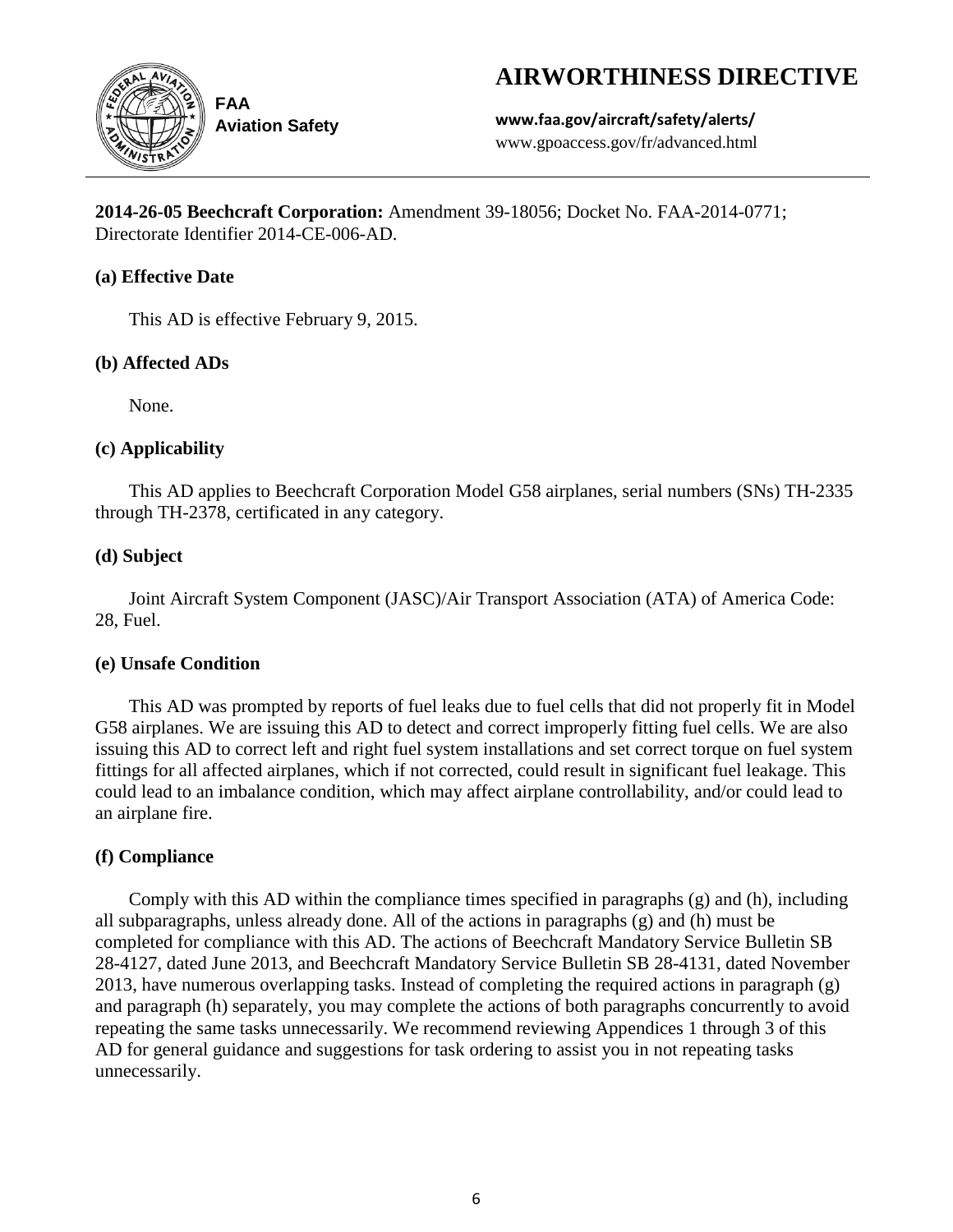# **AIRWORTHINESS DIRECTIVE**



**Aviation Safety**

**www.faa.gov/aircraft/safety/alerts/** www.gpoaccess.gov/fr/advanced.html

**2014-26-05 Beechcraft Corporation:** Amendment 39-18056; Docket No. FAA-2014-0771; Directorate Identifier 2014-CE-006-AD.

# **(a) Effective Date**

This AD is effective February 9, 2015.

# **(b) Affected ADs**

None.

# **(c) Applicability**

This AD applies to Beechcraft Corporation Model G58 airplanes, serial numbers (SNs) TH-2335 through TH-2378, certificated in any category.

# **(d) Subject**

Joint Aircraft System Component (JASC)/Air Transport Association (ATA) of America Code: 28, Fuel.

# **(e) Unsafe Condition**

This AD was prompted by reports of fuel leaks due to fuel cells that did not properly fit in Model G58 airplanes. We are issuing this AD to detect and correct improperly fitting fuel cells. We are also issuing this AD to correct left and right fuel system installations and set correct torque on fuel system fittings for all affected airplanes, which if not corrected, could result in significant fuel leakage. This could lead to an imbalance condition, which may affect airplane controllability, and/or could lead to an airplane fire.

# **(f) Compliance**

Comply with this AD within the compliance times specified in paragraphs (g) and (h), including all subparagraphs, unless already done. All of the actions in paragraphs (g) and (h) must be completed for compliance with this AD. The actions of Beechcraft Mandatory Service Bulletin SB 28-4127, dated June 2013, and Beechcraft Mandatory Service Bulletin SB 28-4131, dated November 2013, have numerous overlapping tasks. Instead of completing the required actions in paragraph (g) and paragraph (h) separately, you may complete the actions of both paragraphs concurrently to avoid repeating the same tasks unnecessarily. We recommend reviewing Appendices 1 through 3 of this AD for general guidance and suggestions for task ordering to assist you in not repeating tasks unnecessarily.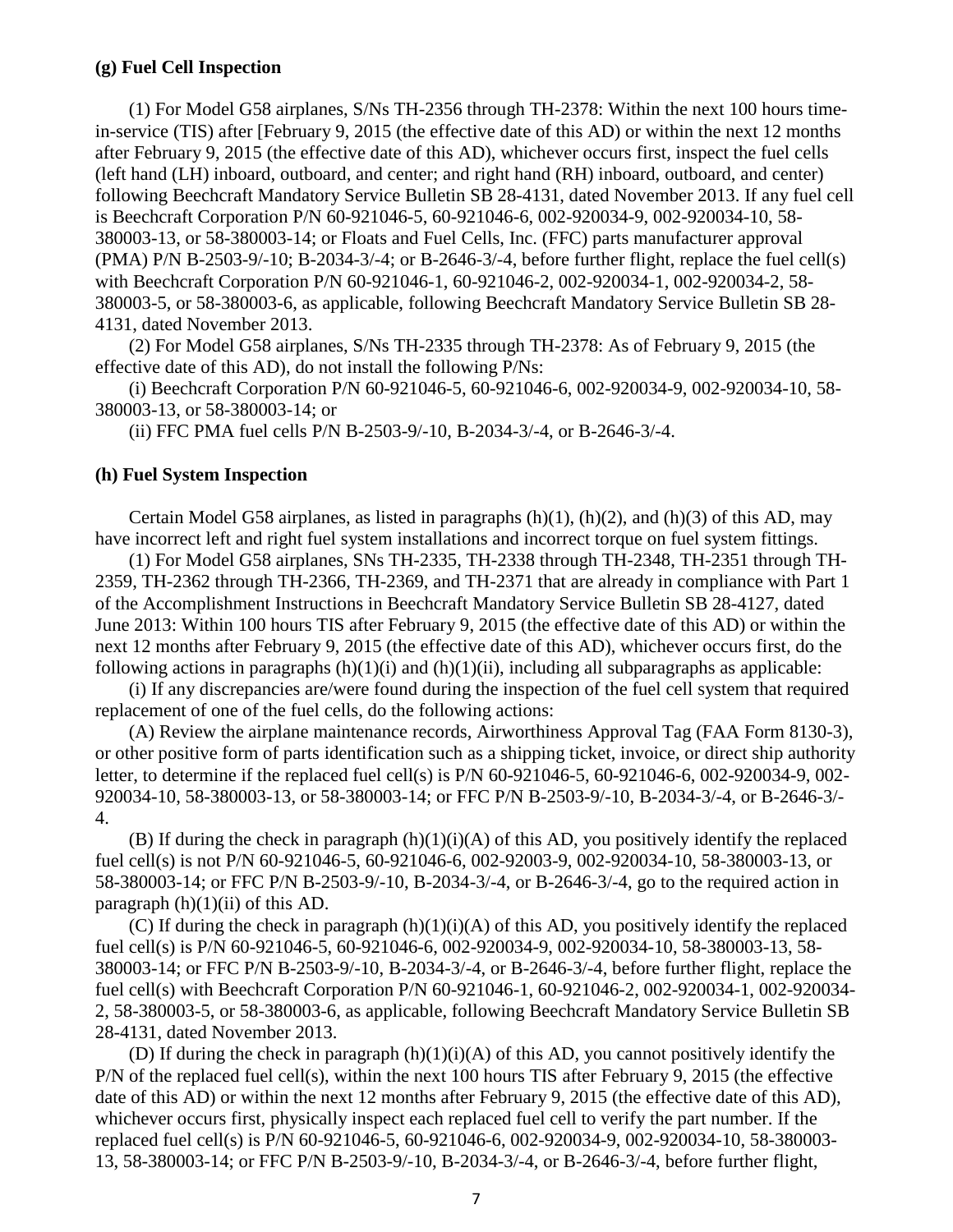## **(g) Fuel Cell Inspection**

(1) For Model G58 airplanes, S/Ns TH-2356 through TH-2378: Within the next 100 hours timein-service (TIS) after [February 9, 2015 (the effective date of this AD) or within the next 12 months after February 9, 2015 (the effective date of this AD), whichever occurs first, inspect the fuel cells (left hand (LH) inboard, outboard, and center; and right hand (RH) inboard, outboard, and center) following Beechcraft Mandatory Service Bulletin SB 28-4131, dated November 2013. If any fuel cell is Beechcraft Corporation P/N 60-921046-5, 60-921046-6, 002-920034-9, 002-920034-10, 58- 380003-13, or 58-380003-14; or Floats and Fuel Cells, Inc. (FFC) parts manufacturer approval (PMA) P/N B-2503-9/-10; B-2034-3/-4; or B-2646-3/-4, before further flight, replace the fuel cell(s) with Beechcraft Corporation P/N 60-921046-1, 60-921046-2, 002-920034-1, 002-920034-2, 58- 380003-5, or 58-380003-6, as applicable, following Beechcraft Mandatory Service Bulletin SB 28- 4131, dated November 2013.

(2) For Model G58 airplanes, S/Ns TH-2335 through TH-2378: As of February 9, 2015 (the effective date of this AD), do not install the following P/Ns:

(i) Beechcraft Corporation P/N 60-921046-5, 60-921046-6, 002-920034-9, 002-920034-10, 58- 380003-13, or 58-380003-14; or

(ii) FFC PMA fuel cells P/N B-2503-9/-10, B-2034-3/-4, or B-2646-3/-4.

### **(h) Fuel System Inspection**

Certain Model G58 airplanes, as listed in paragraphs  $(h)(1)$ ,  $(h)(2)$ , and  $(h)(3)$  of this AD, may have incorrect left and right fuel system installations and incorrect torque on fuel system fittings.

(1) For Model G58 airplanes, SNs TH-2335, TH-2338 through TH-2348, TH-2351 through TH-2359, TH-2362 through TH-2366, TH-2369, and TH-2371 that are already in compliance with Part 1 of the Accomplishment Instructions in Beechcraft Mandatory Service Bulletin SB 28-4127, dated June 2013: Within 100 hours TIS after February 9, 2015 (the effective date of this AD) or within the next 12 months after February 9, 2015 (the effective date of this AD), whichever occurs first, do the following actions in paragraphs  $(h)(1)(i)$  and  $(h)(1)(ii)$ , including all subparagraphs as applicable:

(i) If any discrepancies are/were found during the inspection of the fuel cell system that required replacement of one of the fuel cells, do the following actions:

(A) Review the airplane maintenance records, Airworthiness Approval Tag (FAA Form 8130-3), or other positive form of parts identification such as a shipping ticket, invoice, or direct ship authority letter, to determine if the replaced fuel cell(s) is P/N 60-921046-5, 60-921046-6, 002-920034-9, 002- 920034-10, 58-380003-13, or 58-380003-14; or FFC P/N B-2503-9/-10, B-2034-3/-4, or B-2646-3/- 4.

(B) If during the check in paragraph  $(h)(1)(i)(A)$  of this AD, you positively identify the replaced fuel cell(s) is not P/N 60-921046-5, 60-921046-6, 002-92003-9, 002-920034-10, 58-380003-13, or 58-380003-14; or FFC P/N B-2503-9/-10, B-2034-3/-4, or B-2646-3/-4, go to the required action in paragraph  $(h)(1)(ii)$  of this AD.

(C) If during the check in paragraph  $(h)(1)(i)(A)$  of this AD, you positively identify the replaced fuel cell(s) is P/N 60-921046-5, 60-921046-6, 002-920034-9, 002-920034-10, 58-380003-13, 58- 380003-14; or FFC P/N B-2503-9/-10, B-2034-3/-4, or B-2646-3/-4, before further flight, replace the fuel cell(s) with Beechcraft Corporation P/N 60-921046-1, 60-921046-2, 002-920034-1, 002-920034- 2, 58-380003-5, or 58-380003-6, as applicable, following Beechcraft Mandatory Service Bulletin SB 28-4131, dated November 2013.

(D) If during the check in paragraph  $(h)(1)(i)(A)$  of this AD, you cannot positively identify the P/N of the replaced fuel cell(s), within the next 100 hours TIS after February 9, 2015 (the effective date of this AD) or within the next 12 months after February 9, 2015 (the effective date of this AD), whichever occurs first, physically inspect each replaced fuel cell to verify the part number. If the replaced fuel cell(s) is P/N 60-921046-5, 60-921046-6, 002-920034-9, 002-920034-10, 58-380003- 13, 58-380003-14; or FFC P/N B-2503-9/-10, B-2034-3/-4, or B-2646-3/-4, before further flight,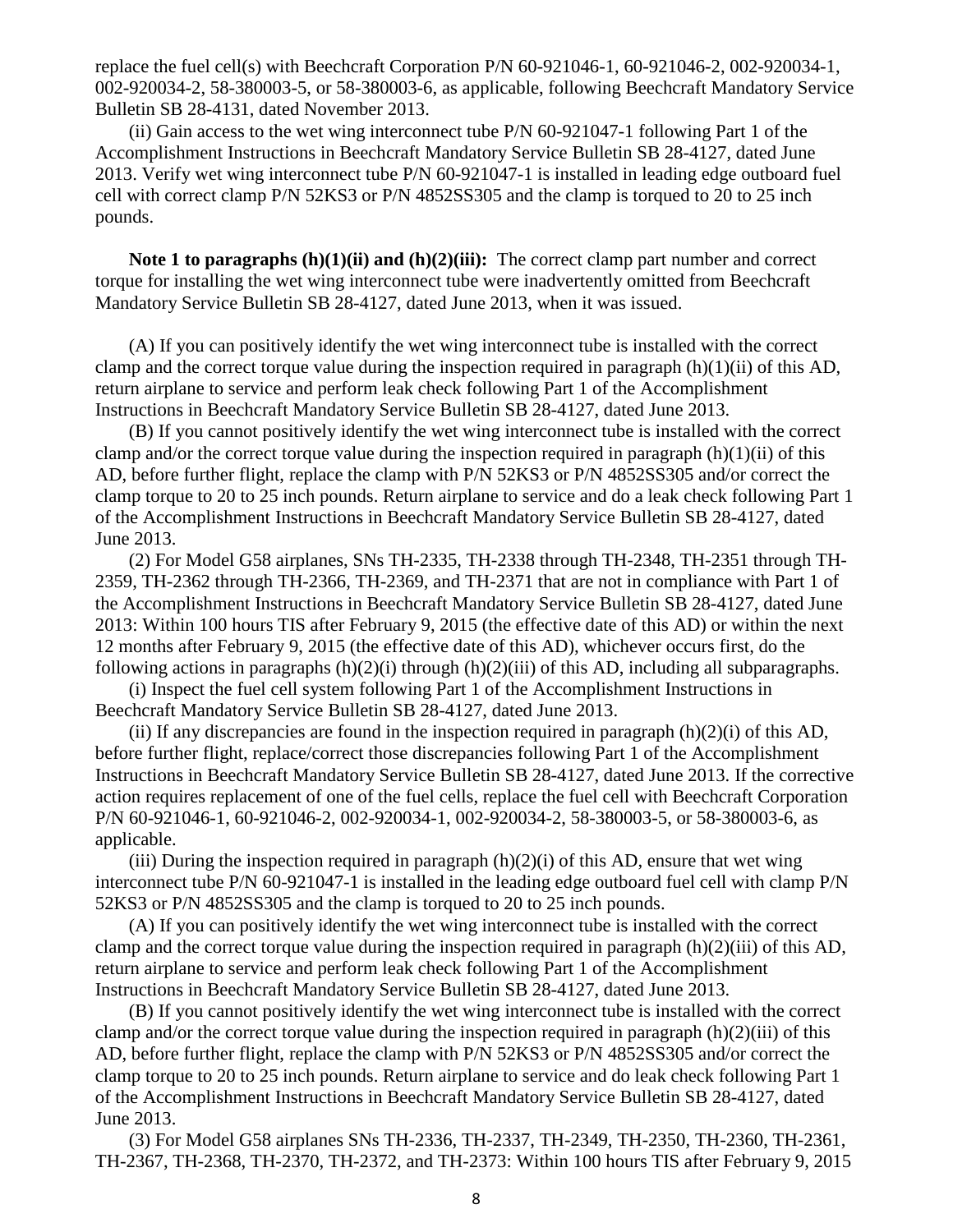replace the fuel cell(s) with Beechcraft Corporation P/N 60-921046-1, 60-921046-2, 002-920034-1, 002-920034-2, 58-380003-5, or 58-380003-6, as applicable, following Beechcraft Mandatory Service Bulletin SB 28-4131, dated November 2013.

(ii) Gain access to the wet wing interconnect tube P/N 60-921047-1 following Part 1 of the Accomplishment Instructions in Beechcraft Mandatory Service Bulletin SB 28-4127, dated June 2013. Verify wet wing interconnect tube P/N 60-921047-1 is installed in leading edge outboard fuel cell with correct clamp P/N 52KS3 or P/N 4852SS305 and the clamp is torqued to 20 to 25 inch pounds.

**Note 1 to paragraphs (h)(1)(ii) and (h)(2)(iii):** The correct clamp part number and correct torque for installing the wet wing interconnect tube were inadvertently omitted from Beechcraft Mandatory Service Bulletin SB 28-4127, dated June 2013, when it was issued.

(A) If you can positively identify the wet wing interconnect tube is installed with the correct clamp and the correct torque value during the inspection required in paragraph (h)(1)(ii) of this AD, return airplane to service and perform leak check following Part 1 of the Accomplishment Instructions in Beechcraft Mandatory Service Bulletin SB 28-4127, dated June 2013.

(B) If you cannot positively identify the wet wing interconnect tube is installed with the correct clamp and/or the correct torque value during the inspection required in paragraph  $(h)(1)(ii)$  of this AD, before further flight, replace the clamp with P/N 52KS3 or P/N 4852SS305 and/or correct the clamp torque to 20 to 25 inch pounds. Return airplane to service and do a leak check following Part 1 of the Accomplishment Instructions in Beechcraft Mandatory Service Bulletin SB 28-4127, dated June 2013.

(2) For Model G58 airplanes, SNs TH-2335, TH-2338 through TH-2348, TH-2351 through TH-2359, TH-2362 through TH-2366, TH-2369, and TH-2371 that are not in compliance with Part 1 of the Accomplishment Instructions in Beechcraft Mandatory Service Bulletin SB 28-4127, dated June 2013: Within 100 hours TIS after February 9, 2015 (the effective date of this AD) or within the next 12 months after February 9, 2015 (the effective date of this AD), whichever occurs first, do the following actions in paragraphs  $(h)(2)(i)$  through  $(h)(2)(iii)$  of this AD, including all subparagraphs.

(i) Inspect the fuel cell system following Part 1 of the Accomplishment Instructions in Beechcraft Mandatory Service Bulletin SB 28-4127, dated June 2013.

(ii) If any discrepancies are found in the inspection required in paragraph  $(h)(2)(i)$  of this AD, before further flight, replace/correct those discrepancies following Part 1 of the Accomplishment Instructions in Beechcraft Mandatory Service Bulletin SB 28-4127, dated June 2013. If the corrective action requires replacement of one of the fuel cells, replace the fuel cell with Beechcraft Corporation P/N 60-921046-1, 60-921046-2, 002-920034-1, 002-920034-2, 58-380003-5, or 58-380003-6, as applicable.

(iii) During the inspection required in paragraph  $(h)(2)(i)$  of this AD, ensure that wet wing interconnect tube P/N 60-921047-1 is installed in the leading edge outboard fuel cell with clamp P/N 52KS3 or P/N 4852SS305 and the clamp is torqued to 20 to 25 inch pounds.

(A) If you can positively identify the wet wing interconnect tube is installed with the correct clamp and the correct torque value during the inspection required in paragraph  $(h)(2)(iii)$  of this AD, return airplane to service and perform leak check following Part 1 of the Accomplishment Instructions in Beechcraft Mandatory Service Bulletin SB 28-4127, dated June 2013.

(B) If you cannot positively identify the wet wing interconnect tube is installed with the correct clamp and/or the correct torque value during the inspection required in paragraph (h)(2)(iii) of this AD, before further flight, replace the clamp with P/N 52KS3 or P/N 4852SS305 and/or correct the clamp torque to 20 to 25 inch pounds. Return airplane to service and do leak check following Part 1 of the Accomplishment Instructions in Beechcraft Mandatory Service Bulletin SB 28-4127, dated June 2013.

(3) For Model G58 airplanes SNs TH-2336, TH-2337, TH-2349, TH-2350, TH-2360, TH-2361, TH-2367, TH-2368, TH-2370, TH-2372, and TH-2373: Within 100 hours TIS after February 9, 2015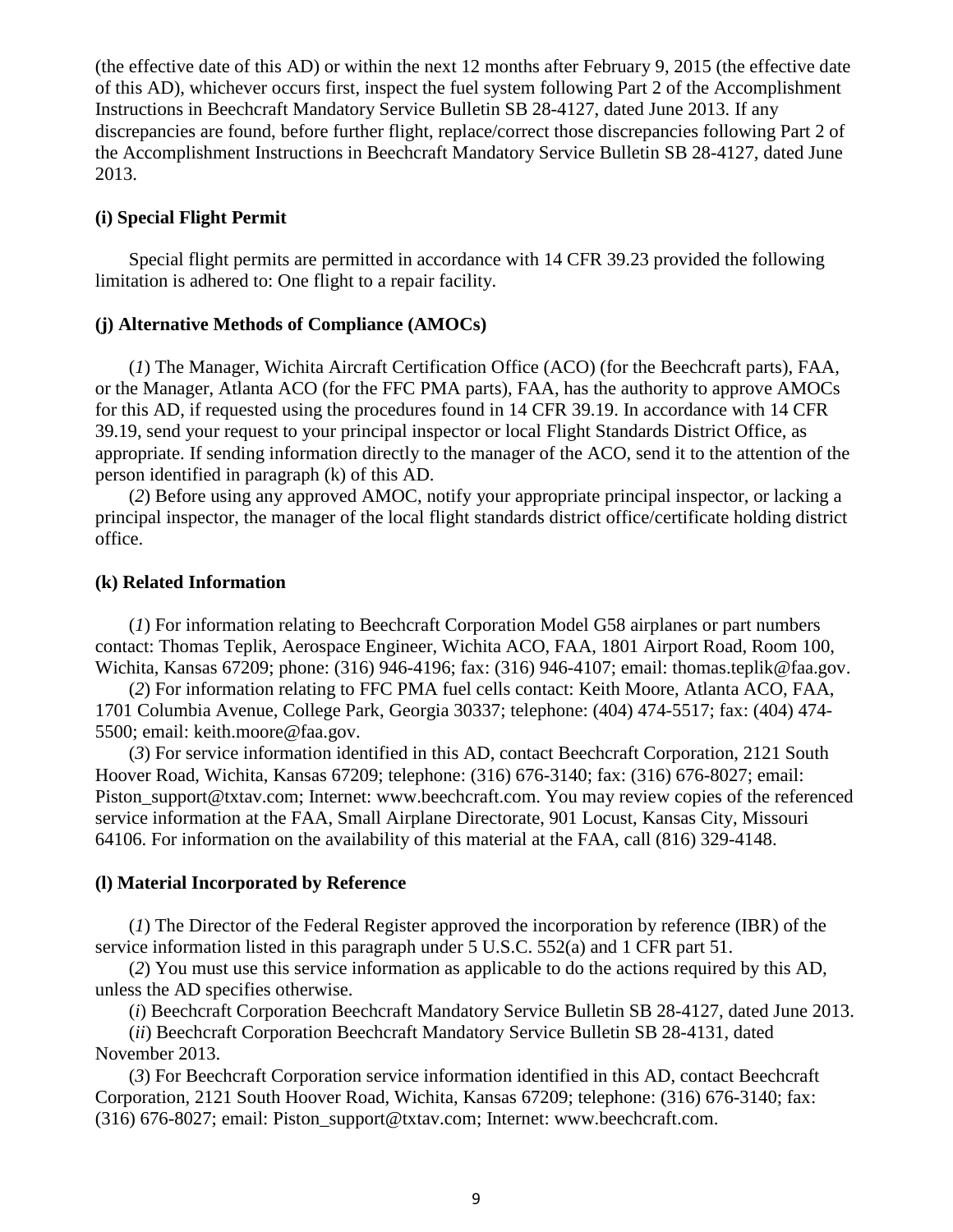(the effective date of this AD) or within the next 12 months after February 9, 2015 (the effective date of this AD), whichever occurs first, inspect the fuel system following Part 2 of the Accomplishment Instructions in Beechcraft Mandatory Service Bulletin SB 28-4127, dated June 2013. If any discrepancies are found, before further flight, replace/correct those discrepancies following Part 2 of the Accomplishment Instructions in Beechcraft Mandatory Service Bulletin SB 28-4127, dated June 2013.

### **(i) Special Flight Permit**

Special flight permits are permitted in accordance with 14 CFR 39.23 provided the following limitation is adhered to: One flight to a repair facility.

## **(j) Alternative Methods of Compliance (AMOCs)**

(*1*) The Manager, Wichita Aircraft Certification Office (ACO) (for the Beechcraft parts), FAA, or the Manager, Atlanta ACO (for the FFC PMA parts), FAA, has the authority to approve AMOCs for this AD, if requested using the procedures found in 14 CFR 39.19. In accordance with 14 CFR 39.19, send your request to your principal inspector or local Flight Standards District Office, as appropriate. If sending information directly to the manager of the ACO, send it to the attention of the person identified in paragraph (k) of this AD.

(*2*) Before using any approved AMOC, notify your appropriate principal inspector, or lacking a principal inspector, the manager of the local flight standards district office/certificate holding district office.

## **(k) Related Information**

(*1*) For information relating to Beechcraft Corporation Model G58 airplanes or part numbers contact: Thomas Teplik, Aerospace Engineer, Wichita ACO, FAA, 1801 Airport Road, Room 100, Wichita, Kansas 67209; phone: (316) 946-4196; fax: (316) 946-4107; email: thomas.teplik@faa.gov.

(*2*) For information relating to FFC PMA fuel cells contact: Keith Moore, Atlanta ACO, FAA, 1701 Columbia Avenue, College Park, Georgia 30337; telephone: (404) 474-5517; fax: (404) 474- 5500; email: keith.moore@faa.gov.

(*3*) For service information identified in this AD, contact Beechcraft Corporation, 2121 South Hoover Road, Wichita, Kansas 67209; telephone: (316) 676-3140; fax: (316) 676-8027; email: Piston\_support@txtav.com; Internet: www.beechcraft.com. You may review copies of the referenced service information at the FAA, Small Airplane Directorate, 901 Locust, Kansas City, Missouri 64106. For information on the availability of this material at the FAA, call (816) 329-4148.

#### **(l) Material Incorporated by Reference**

(*1*) The Director of the Federal Register approved the incorporation by reference (IBR) of the service information listed in this paragraph under 5 U.S.C. 552(a) and 1 CFR part 51.

(*2*) You must use this service information as applicable to do the actions required by this AD, unless the AD specifies otherwise.

(*i*) Beechcraft Corporation Beechcraft Mandatory Service Bulletin SB 28-4127, dated June 2013.

(*ii*) Beechcraft Corporation Beechcraft Mandatory Service Bulletin SB 28-4131, dated November 2013.

(*3*) For Beechcraft Corporation service information identified in this AD, contact Beechcraft Corporation, 2121 South Hoover Road, Wichita, Kansas 67209; telephone: (316) 676-3140; fax: (316) 676-8027; email: Piston\_support@txtav.com; Internet: www.beechcraft.com.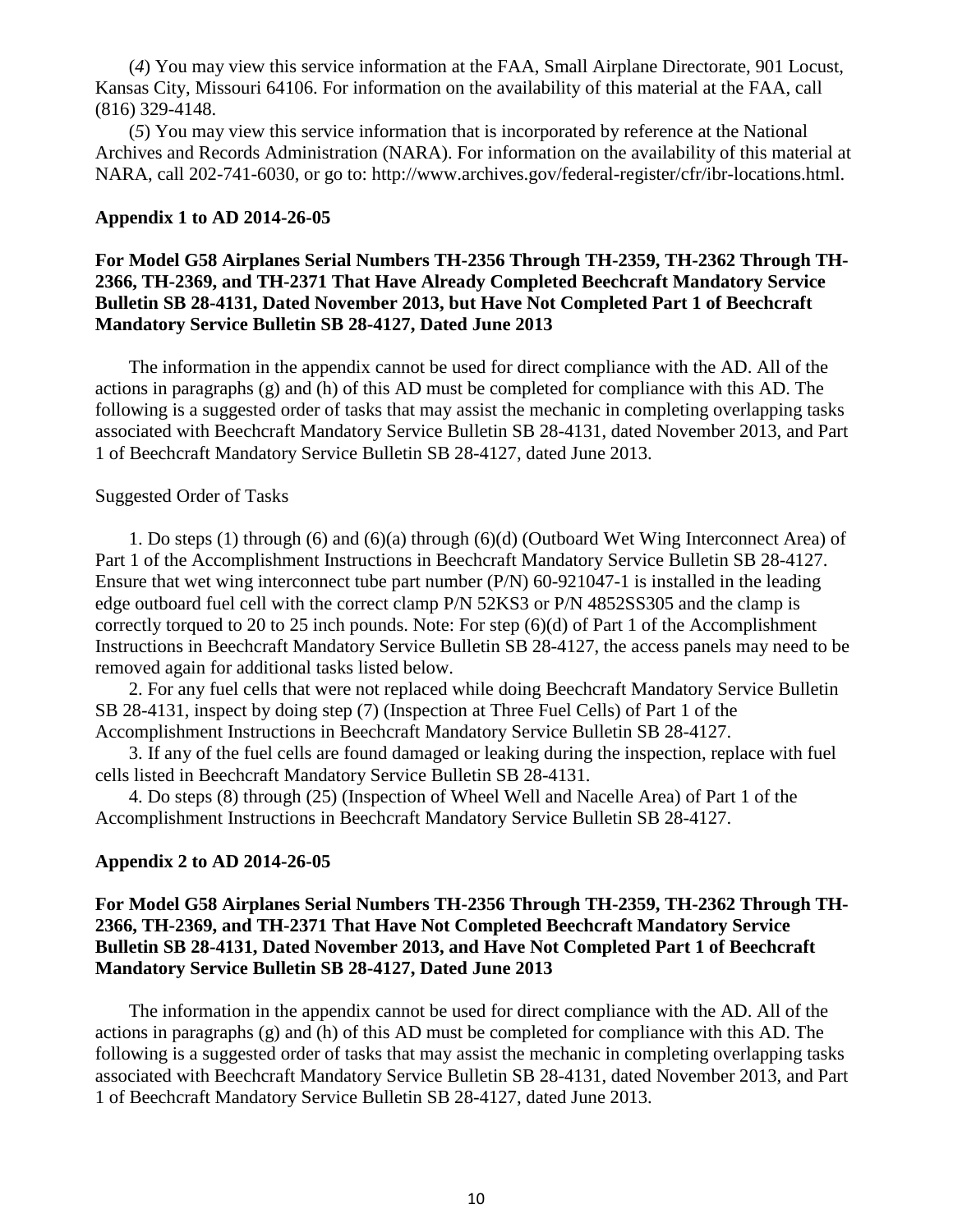(*4*) You may view this service information at the FAA, Small Airplane Directorate, 901 Locust, Kansas City, Missouri 64106. For information on the availability of this material at the FAA, call (816) 329-4148.

(*5*) You may view this service information that is incorporated by reference at the National Archives and Records Administration (NARA). For information on the availability of this material at NARA, call 202-741-6030, or go to: http://www.archives.gov/federal-register/cfr/ibr-locations.html.

#### **Appendix 1 to AD 2014-26-05**

# **For Model G58 Airplanes Serial Numbers TH-2356 Through TH-2359, TH-2362 Through TH-2366, TH-2369, and TH-2371 That Have Already Completed Beechcraft Mandatory Service Bulletin SB 28-4131, Dated November 2013, but Have Not Completed Part 1 of Beechcraft Mandatory Service Bulletin SB 28-4127, Dated June 2013**

The information in the appendix cannot be used for direct compliance with the AD. All of the actions in paragraphs  $(g)$  and  $(h)$  of this AD must be completed for compliance with this AD. The following is a suggested order of tasks that may assist the mechanic in completing overlapping tasks associated with Beechcraft Mandatory Service Bulletin SB 28-4131, dated November 2013, and Part 1 of Beechcraft Mandatory Service Bulletin SB 28-4127, dated June 2013.

### Suggested Order of Tasks

1. Do steps (1) through (6) and (6)(a) through (6)(d) (Outboard Wet Wing Interconnect Area) of Part 1 of the Accomplishment Instructions in Beechcraft Mandatory Service Bulletin SB 28-4127. Ensure that wet wing interconnect tube part number (P/N) 60-921047-1 is installed in the leading edge outboard fuel cell with the correct clamp P/N 52KS3 or P/N 4852SS305 and the clamp is correctly torqued to 20 to 25 inch pounds. Note: For step  $(6)(d)$  of Part 1 of the Accomplishment Instructions in Beechcraft Mandatory Service Bulletin SB 28-4127, the access panels may need to be removed again for additional tasks listed below.

2. For any fuel cells that were not replaced while doing Beechcraft Mandatory Service Bulletin SB 28-4131, inspect by doing step (7) (Inspection at Three Fuel Cells) of Part 1 of the Accomplishment Instructions in Beechcraft Mandatory Service Bulletin SB 28-4127.

3. If any of the fuel cells are found damaged or leaking during the inspection, replace with fuel cells listed in Beechcraft Mandatory Service Bulletin SB 28-4131.

4. Do steps (8) through (25) (Inspection of Wheel Well and Nacelle Area) of Part 1 of the Accomplishment Instructions in Beechcraft Mandatory Service Bulletin SB 28-4127.

#### **Appendix 2 to AD 2014-26-05**

# **For Model G58 Airplanes Serial Numbers TH-2356 Through TH-2359, TH-2362 Through TH-2366, TH-2369, and TH-2371 That Have Not Completed Beechcraft Mandatory Service Bulletin SB 28-4131, Dated November 2013, and Have Not Completed Part 1 of Beechcraft Mandatory Service Bulletin SB 28-4127, Dated June 2013**

The information in the appendix cannot be used for direct compliance with the AD. All of the actions in paragraphs (g) and (h) of this AD must be completed for compliance with this AD. The following is a suggested order of tasks that may assist the mechanic in completing overlapping tasks associated with Beechcraft Mandatory Service Bulletin SB 28-4131, dated November 2013, and Part 1 of Beechcraft Mandatory Service Bulletin SB 28-4127, dated June 2013.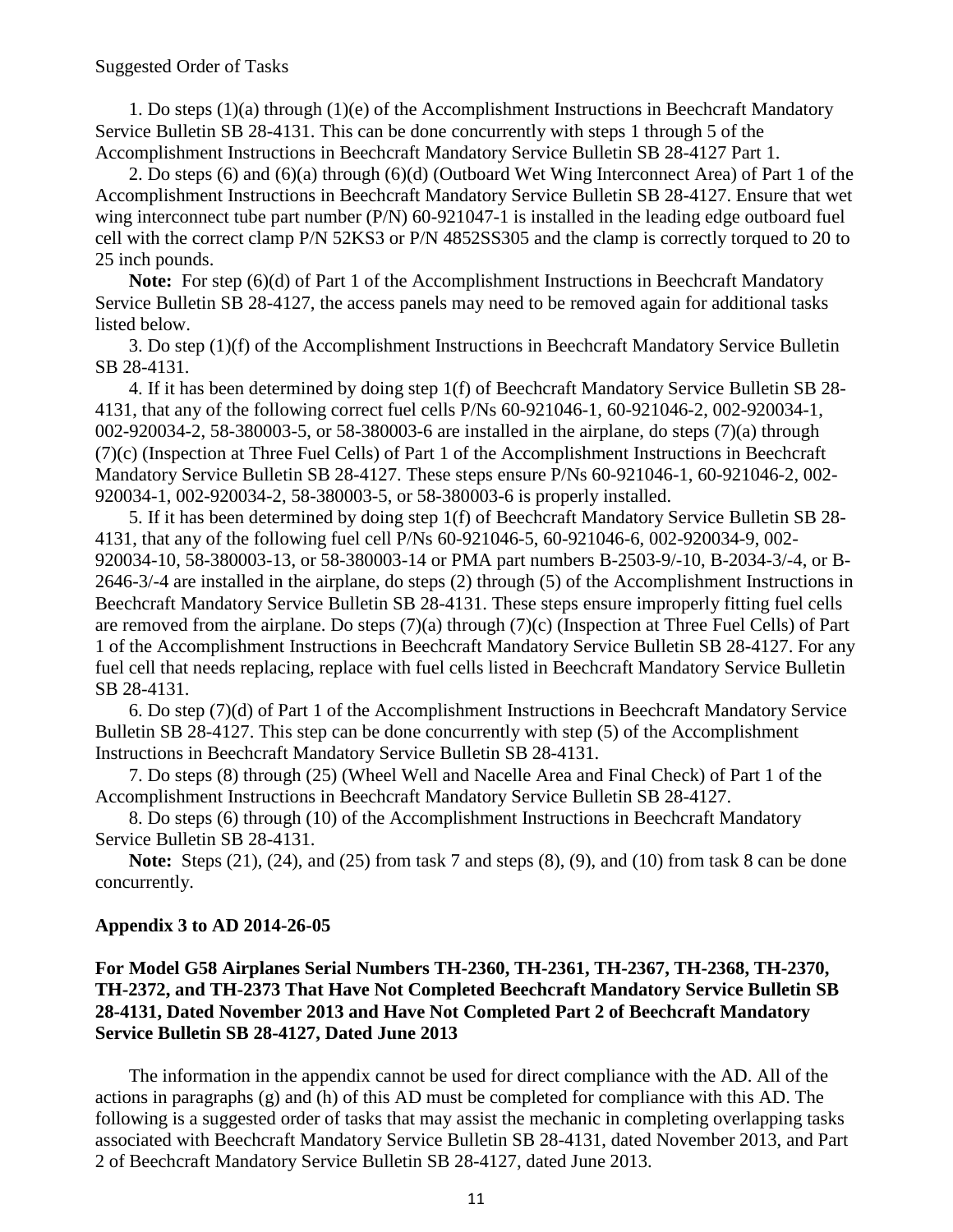### Suggested Order of Tasks

1. Do steps (1)(a) through (1)(e) of the Accomplishment Instructions in Beechcraft Mandatory Service Bulletin SB 28-4131. This can be done concurrently with steps 1 through 5 of the Accomplishment Instructions in Beechcraft Mandatory Service Bulletin SB 28-4127 Part 1.

2. Do steps (6) and (6)(a) through (6)(d) (Outboard Wet Wing Interconnect Area) of Part 1 of the Accomplishment Instructions in Beechcraft Mandatory Service Bulletin SB 28-4127. Ensure that wet wing interconnect tube part number (P/N) 60-921047-1 is installed in the leading edge outboard fuel cell with the correct clamp P/N 52KS3 or P/N 4852SS305 and the clamp is correctly torqued to 20 to 25 inch pounds.

**Note:** For step (6)(d) of Part 1 of the Accomplishment Instructions in Beechcraft Mandatory Service Bulletin SB 28-4127, the access panels may need to be removed again for additional tasks listed below.

3. Do step (1)(f) of the Accomplishment Instructions in Beechcraft Mandatory Service Bulletin SB 28-4131.

4. If it has been determined by doing step 1(f) of Beechcraft Mandatory Service Bulletin SB 28- 4131, that any of the following correct fuel cells P/Ns 60-921046-1, 60-921046-2, 002-920034-1, 002-920034-2, 58-380003-5, or 58-380003-6 are installed in the airplane, do steps (7)(a) through (7)(c) (Inspection at Three Fuel Cells) of Part 1 of the Accomplishment Instructions in Beechcraft Mandatory Service Bulletin SB 28-4127. These steps ensure P/Ns 60-921046-1, 60-921046-2, 002- 920034-1, 002-920034-2, 58-380003-5, or 58-380003-6 is properly installed.

5. If it has been determined by doing step 1(f) of Beechcraft Mandatory Service Bulletin SB 28- 4131, that any of the following fuel cell P/Ns 60-921046-5, 60-921046-6, 002-920034-9, 002- 920034-10, 58-380003-13, or 58-380003-14 or PMA part numbers B-2503-9/-10, B-2034-3/-4, or B-2646-3/-4 are installed in the airplane, do steps (2) through (5) of the Accomplishment Instructions in Beechcraft Mandatory Service Bulletin SB 28-4131. These steps ensure improperly fitting fuel cells are removed from the airplane. Do steps (7)(a) through (7)(c) (Inspection at Three Fuel Cells) of Part 1 of the Accomplishment Instructions in Beechcraft Mandatory Service Bulletin SB 28-4127. For any fuel cell that needs replacing, replace with fuel cells listed in Beechcraft Mandatory Service Bulletin SB 28-4131.

6. Do step (7)(d) of Part 1 of the Accomplishment Instructions in Beechcraft Mandatory Service Bulletin SB 28-4127. This step can be done concurrently with step (5) of the Accomplishment Instructions in Beechcraft Mandatory Service Bulletin SB 28-4131.

7. Do steps (8) through (25) (Wheel Well and Nacelle Area and Final Check) of Part 1 of the Accomplishment Instructions in Beechcraft Mandatory Service Bulletin SB 28-4127.

8. Do steps (6) through (10) of the Accomplishment Instructions in Beechcraft Mandatory Service Bulletin SB 28-4131.

**Note:** Steps (21), (24), and (25) from task 7 and steps (8), (9), and (10) from task 8 can be done concurrently.

### **Appendix 3 to AD 2014-26-05**

**For Model G58 Airplanes Serial Numbers TH-2360, TH-2361, TH-2367, TH-2368, TH-2370, TH-2372, and TH-2373 That Have Not Completed Beechcraft Mandatory Service Bulletin SB 28-4131, Dated November 2013 and Have Not Completed Part 2 of Beechcraft Mandatory Service Bulletin SB 28-4127, Dated June 2013**

The information in the appendix cannot be used for direct compliance with the AD. All of the actions in paragraphs (g) and (h) of this AD must be completed for compliance with this AD. The following is a suggested order of tasks that may assist the mechanic in completing overlapping tasks associated with Beechcraft Mandatory Service Bulletin SB 28-4131, dated November 2013, and Part 2 of Beechcraft Mandatory Service Bulletin SB 28-4127, dated June 2013.